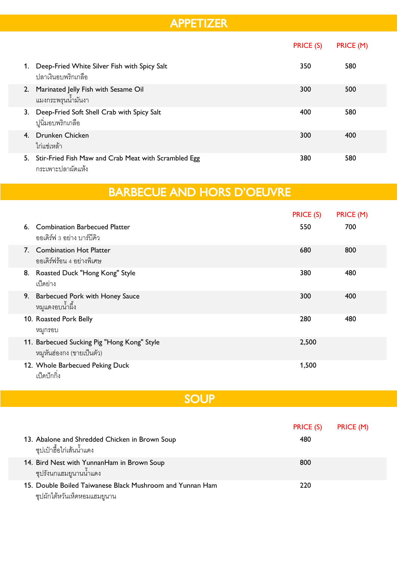#### APPETIZER

|               |                                                                           | PRICE (S) | PRICE (M) |
|---------------|---------------------------------------------------------------------------|-----------|-----------|
| 1.            | Deep-Fried White Silver Fish with Spicy Salt<br>ปลาเงินอบพริกเกลือ        | 350       | 580       |
| <sup>2.</sup> | Marinated Jelly Fish with Sesame Oil<br>แมงกระพรุนนำมันงา                 | 300       | 500       |
| 3.            | Deep-Fried Soft Shell Crab with Spicy Salt<br>ปูนิ่มอบพริกเกลือ           | 400       | 580       |
| 4.            | <b>Drunken Chicken</b><br>ไก่แช่เหล้า                                     | 300       | 400       |
| 5.            | Stir-Fried Fish Maw and Crab Meat with Scrambled Egg<br>กระเพาะปลาผัดแห้ง | 380       | 580       |

#### BARBECUE AND HORS D'OEUVRE

|    |                                                                          | <b>PRICE (S)</b> | PRICE (M) |
|----|--------------------------------------------------------------------------|------------------|-----------|
| 6. | <b>Combination Barbecued Platter</b><br>้ออเดิร์ฟ 3 อย่าง บาร์บีคิว      | 550              | 700       |
| 7. | <b>Combination Hot Platter</b><br>้ออเดิร์ฟร้อน 4 อย่างพิเศษ             | 680              | 800       |
| 8. | Roasted Duck "Hong Kong" Style<br>เป็ดย่าง                               | 380              | 480       |
| 9. | <b>Barbecued Pork with Honey Sauce</b><br>หมูแดงอบน้ำผึ้ง                | 300              | 400       |
|    | 10. Roasted Pork Belly<br>หมูกรอบ                                        | 280              | 480       |
|    | 11. Barbecued Sucking Pig "Hong Kong" Style<br>หมูหันฮ่องกง (ขายเป็นตัว) | 2,500            |           |
|    | 12. Whole Barbecued Peking Duck<br>เป็ดปักกิ่ง                           | 1,500            |           |

#### **SOUP**

| 13. Abalone and Shredded Chicken in Brown Soup<br>์ ซุปเป๋าฮื้อไก่เส้นน้ำแดง              | PRICE (S)<br>480 | PRICE (M) |
|-------------------------------------------------------------------------------------------|------------------|-----------|
| 14. Bird Nest with YunnanHam in Brown Soup<br>์ ซุปรังนกแฮมยูนานน้ำแดง                    | 800              |           |
| 15. Double Boiled Taiwanese Black Mushroom and Yunnan Ham<br>ซุปผักไต้หวันเห็ดหอมแฮมยูนาน | 220              |           |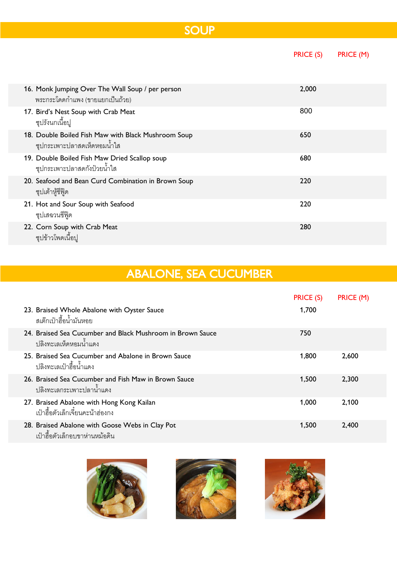|                                                                                                    | <b>PRICE (S)</b> | PRICE (M) |  |  |
|----------------------------------------------------------------------------------------------------|------------------|-----------|--|--|
| 16. Monk Jumping Over The Wall Soup / per person<br>ี พระกระโดดกำแพง (ขายแยกเป็นถ้วย)              | 2,000            |           |  |  |
| 17. Bird's Nest Soup with Crab Meat<br>ซุปรังนกเนื้อปู                                             | 800              |           |  |  |
| 18. Double Boiled Fish Maw with Black Mushroom Soup<br>ี ซุปกระเพาะปลาสดเห็ดห <sub>ื</sub> อมน้ำใส | 650              |           |  |  |
| 19. Double Boiled Fish Maw Dried Scallop soup<br>ชุปกระเพาะปลาสดกังป๋วยน้ำใส                       | 680              |           |  |  |
| 20. Seafood and Bean Curd Combination in Brown Soup<br>ซุปเต้าหู้ซีฟู๊ด                            | 220              |           |  |  |
| 21. Hot and Sour Soup with Seafood<br>ซุปเสฉวนซีฟุ๊ด                                               | 220              |           |  |  |
| 22. Corn Soup with Crab Meat<br>ซุปข้าวโพดเนื้อปู                                                  | 280              |           |  |  |

# ABALONE, SEA CUCUMBER

|                                                                                       | PRICE (S) | PRICE (M) |
|---------------------------------------------------------------------------------------|-----------|-----------|
| 23. Braised Whole Abalone with Oyster Sauce<br>สเต๊กเป๋าสี้คน้ำมันหค <sub>ั</sub> ย   | 1,700     |           |
| 24. Braised Sea Cucumber and Black Mushroom in Brown Sauce<br>ปลิงทะเลเห็ดหอมน้ำแดง   | 750       |           |
| 25. Braised Sea Cucumber and Abalone in Brown Sauce<br><u> ปลิงทะเลเป๋าสี้คน้ำแดง</u> | 1,800     | 2,600     |
| 26. Braised Sea Cucumber and Fish Maw in Brown Sauce<br>ปลิงทะเลกระเพาะปลาน้ำแดง      | 1.500     | 2,300     |
| 27. Braised Abalone with Hong Kong Kailan<br>เป๋าสื้อตัวเล็กเจี๋ยนคะน้าฮ่องกง         | 1,000     | 2,100     |
| 28. Braised Abalone with Goose Webs in Clay Pot<br>เป๋าสื้อตัวเล็กอบขาห่านหม้อดิน     | 1,500     | 2,400     |





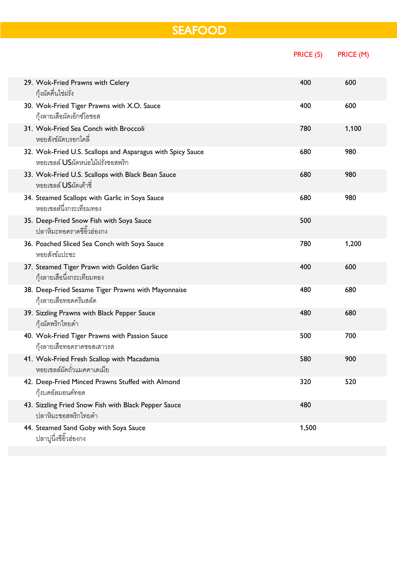# SEAFOOD

|                                                                                                 | PRICE (S) | PRICE (M) |
|-------------------------------------------------------------------------------------------------|-----------|-----------|
| 29. Wok-Fried Prawns with Celery<br>กุ้งผัดคื่นไช่ฝรั่ง                                         | 400       | 600       |
| 30. Wok-Fried Tiger Prawns with X.O. Sauce<br>กุ้งลายเสื้อผัดเอ็กซ์โอซอส                        | 400       | 600       |
| 31. Wok-Fried Sea Conch with Broccoli<br>หอยสังข์ผัดบรอกโคลี่                                   | 780       | 1,100     |
| 32. Wok-Fried U.S. Scallops and Asparagus with Spicy Sauce<br>หอยเชลล์ USผัดหน่อไม้ฝรั่งซอสพริก | 680       | 980       |
| 33. Wok-Fried U.S. Scallops with Black Bean Sauce<br>หอยเชลล์ USผัดเต้าซี่                      | 680       | 980       |
| 34. Steamed Scallops with Garlic in Soya Sauce<br>หอยเชลล์นึ่งกระเทียมทอง                       | 680       | 980       |
| 35. Deep-Fried Snow Fish with Soya Sauce<br>ปลาหิมะทอดราดซี่อิ้วฮ่องกง                          | 500       |           |
| 36. Poached Sliced Sea Conch with Soya Sauce<br>หอยสังข์แปะซะ                                   | 780       | 1,200     |
| 37. Steamed Tiger Prawn with Golden Garlic<br>กุ้งลายเสื้อนึ่งกระเทียมทอง                       | 400       | 600       |
| 38. Deep-Fried Sesame Tiger Prawns with Mayonnaise<br>กุ้งลายเสือทอดครีมสลัด                    | 480       | 680       |
| 39. Sizzling Prawns with Black Pepper Sauce<br>กุ้งผัดพริกไทยดำ                                 | 480       | 680       |
| 40. Wok-Fried Tiger Prawns with Passion Sauce<br>กุ้งลายเสื้อทอดราดซอสเสาวรส                    | 500       | 700       |
| 41. Wok-Fried Fresh Scallop with Macadamia<br>หอยเชลล์ผัดถั่วแมคคาเดเมีย                        | 580       | 900       |
| 42. Deep-Fried Minced Prawns Stuffed with Almond<br>กุ้งบดอัลมอนด์ทอด                           | 320       | 520       |
| 43. Sizzling Fried Snow Fish with Black Pepper Sauce<br>ปลาหิมะตอสพริกไทยดำ                     | 480       |           |
| 44. Steamed Sand Goby with Soya Sauce<br>ปลาบู่นึ่งซี่อิ๊วฮ่องกง                                | 1,500     |           |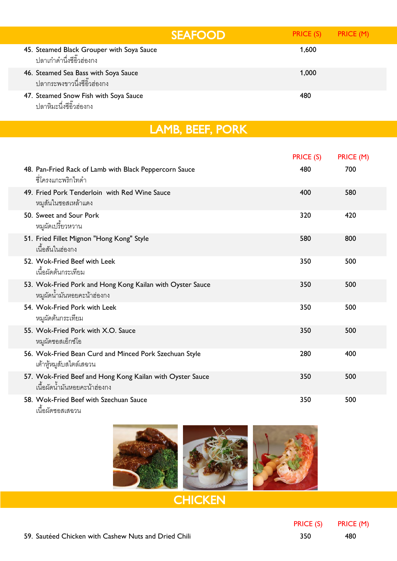|                                                                         | <b>SEAFOOD</b> | PRICE (S) PRICE (M) |  |
|-------------------------------------------------------------------------|----------------|---------------------|--|
| 45. Steamed Black Grouper with Soya Sauce<br>ปลาเก๋าดำนึ่งซี่อิ๊วฮ่องกง |                | 1,600               |  |
| 46. Steamed Sea Bass with Soya Sauce<br>ปลากระพงขาวนึ่งซี่อิ๊วฮ่องกง    |                | 1,000               |  |
| 47. Steamed Snow Fish with Soya Sauce<br>ปลาหิมะนึ่งชี่อิ๊วฮ่องกง       |                | 480                 |  |

| LAMB, BEEF, PORK |  |  |  |
|------------------|--|--|--|

|                                                                                           | <b>PRICE (S)</b> | PRICE (M) |
|-------------------------------------------------------------------------------------------|------------------|-----------|
| 48. Pan-Fried Rack of Lamb with Black Peppercorn Sauce<br>์ ซี่โครงแกะพริกไทดำ            | 480              | 700       |
| 49. Fried Pork Tenderloin with Red Wine Sauce<br>หมูลันในซอสเหล้าแดง                      | 400              | 580       |
| 50. Sweet and Sour Pork<br>หมูผัดเปรี้ยวหวาน                                              | 320              | 420       |
| 51. Fried Fillet Mignon "Hong Kong" Style<br>เนื้อสันในฮ่องกง                             | 580              | 800       |
| 52. Wok-Fried Beef with Leek<br>เนื้อผัดต้นกระเทียม                                       | 350              | 500       |
| 53. Wok-Fried Pork and Hong Kong Kailan with Oyster Sauce<br>หมูผัดน้ำมันหอยคะน้ำฮ่องกง   | 350              | 500       |
| 54. Wok-Fried Pork with Leek<br>หมูผัดต้นกระเทียม                                         | 350              | 500       |
| 55. Wok-Fried Pork with X.O. Sauce<br>หมูผัดซอสเอ็กซ์โอ                                   | 350              | 500       |
| 56. Wok-Fried Bean Curd and Minced Pork Szechuan Style<br>เต้าหู้หมูลับสไตล์เสฉวน         | 280              | 400       |
| 57. Wok-Fried Beef and Hong Kong Kailan with Oyster Sauce<br>เนื้อผัดน้ำมันหอยคะน้าฮ่องกง | 350              | 500       |
| 58. Wok-Fried Beef with Szechuan Sauce<br>ے آگ                                            | 350              | 500       |





## **CHICKEN**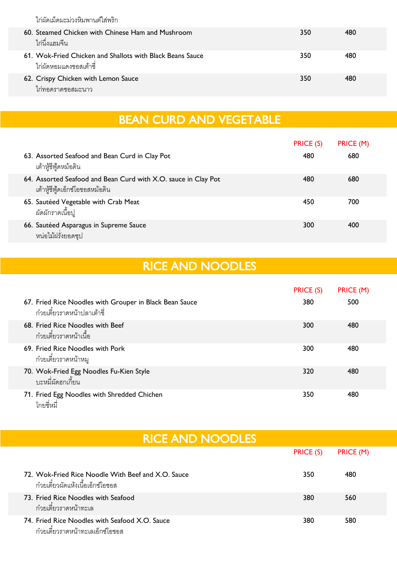ไก่ผัดเม็ดมะม่วงหิมพานต์ใส่พริก

| 60. Steamed Chicken with Chinese Ham and Mushroom<br>ไก่นึ่งแฮมจีน                  | 350 | 480 |
|-------------------------------------------------------------------------------------|-----|-----|
| 61. Wok-Fried Chicken and Shallots with Black Beans Sauce<br>ไก่ผัดหอมแดงซอสเต้าซี่ | 350 | 480 |
| 62. Crispy Chicken with Lemon Sauce<br>ไก่ทอดราดซอสมะนาว                            | 350 | 480 |

## BEAN CURD AND VEGETABLE

|                                                                                                    | <b>PRICE (S)</b> | PRICE (M) |
|----------------------------------------------------------------------------------------------------|------------------|-----------|
| 63. Assorted Seafood and Bean Curd in Clay Pot<br>เต้าหู้ซี่ฟู้ดหม้อดิน                            | 480              | 680       |
| 64. Assorted Seafood and Bean Curd with X.O. sauce in Clay Pot<br>เต้าหู้ซี่ฟู้ดเอ็กซ์โอซอสหม้อดิน | 480              | 680       |
| 65. Sautéed Vegetable with Crab Meat<br>ผัดผักราดเนื้อปู                                           | 450              | 700       |
| 66. Sautéed Asparagus in Supreme Sauce<br>หน่อไม้ฝรั่งยอดซุป                                       | 300              | 400       |

## RICE AND NOODLES

|                                                                                        | PRICE (S) | PRICE (M) |  |
|----------------------------------------------------------------------------------------|-----------|-----------|--|
| 67. Fried Rice Noodles with Grouper in Black Bean Sauce<br>ก๋วยเตี๋ยวราดหน้าปลาเต้าซี่ | 380       | 500       |  |
| 68. Fried Rice Noodles with Beef<br>ก๋วยเตี๋ยวราดหน้าเนื้อ                             | 300       | 480       |  |
| 69. Fried Rice Noodles with Pork<br>ก๋วยเตี๋ยวราดหน้าหมู                               | 300       | 480       |  |
| 70. Wok-Fried Egg Noodles Fu-Kien Style<br>บะหมี่ผัดฮกเกี้ยน                           | 320       | 480       |  |
| 71. Fried Egg Noodles with Shredded Chichen<br>โกยซี่หมี่                              | 350       | 480       |  |

| <b>RICE AND NOODLES</b>                                                                 |           |           |  |  |
|-----------------------------------------------------------------------------------------|-----------|-----------|--|--|
|                                                                                         | PRICE (S) | PRICE (M) |  |  |
| 72. Wok-Fried Rice Noodle With Beef and X.O. Sauce<br>ก๋วยเตี๋ยวผัดแห้งเนื้อเอ็กซ์โอซอส | 350       | 480       |  |  |
| 73. Fried Rice Noodles with Seafood<br>ก๋วยเตี๋ยวราดหน้าทะเล                            | 380       | 560       |  |  |
| 74. Fried Rice Noodles with Seafood X.O. Sauce<br>ก๋วยเตี๋ยวราดหน้าทะเลเอ็กซ์โอซอส      | 380       | 580       |  |  |